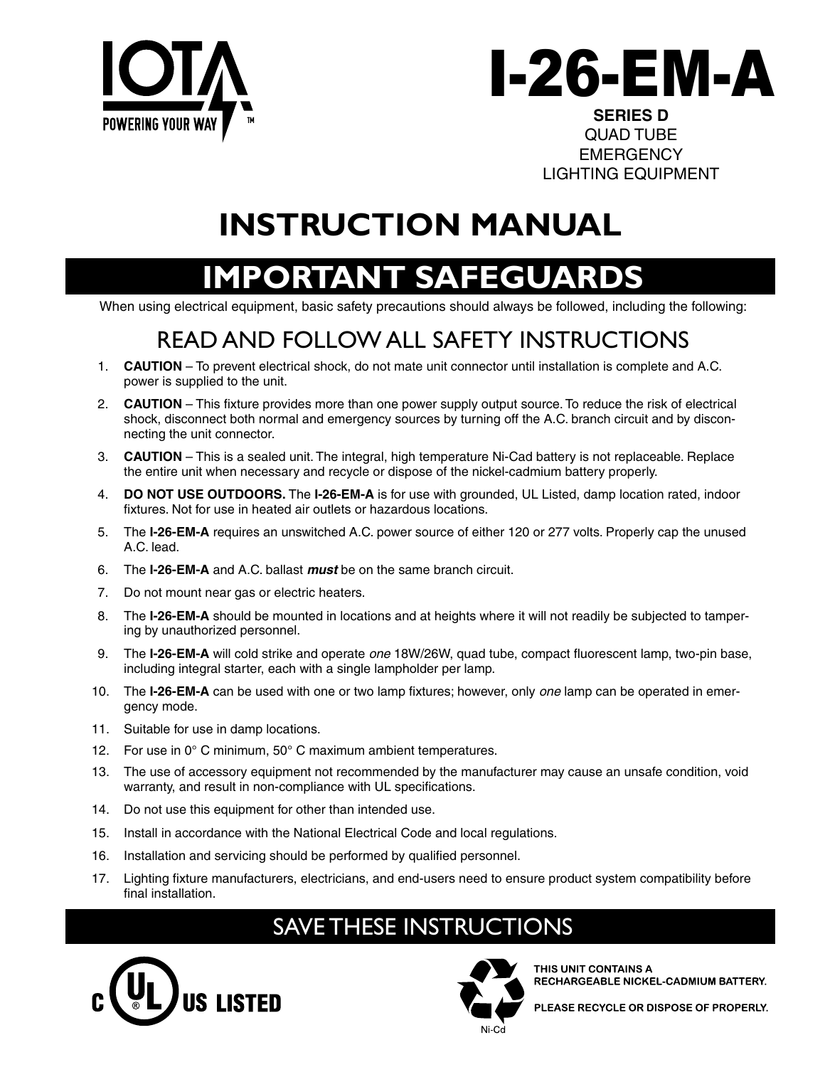



QUAD TUBE **EMERGENCY** LIGHTING EQUIPMENT

## **INSTRUCTION MANUAL**

## **MPORTANT SAFEGUAR**

When using electrical equipment, basic safety precautions should always be followed, including the following:

## READ AND FOLLOW ALL SAFETY INSTRUCTIONS

- 1. **CAUTION**  To prevent electrical shock, do not mate unit connector until installation is complete and A.C. power is supplied to the unit.
- 2. **CAUTION**  This fixture provides more than one power supply output source. To reduce the risk of electrical shock, disconnect both normal and emergency sources by turning off the A.C. branch circuit and by disconnecting the unit connector.
- 3. **CAUTION**  This is a sealed unit. The integral, high temperature Ni-Cad battery is not replaceable. Replace the entire unit when necessary and recycle or dispose of the nickel-cadmium battery properly.
- 4. **DO NOT USE OUTDOORS.** The **I-26-EM-A** is for use with grounded, UL Listed, damp location rated, indoor fixtures. Not for use in heated air outlets or hazardous locations.
- 5. The **I-26-EM-A** requires an unswitched A.C. power source of either 120 or 277 volts. Properly cap the unused A.C. lead.
- 6. The **I-26-EM-A** and A.C. ballast *must* be on the same branch circuit.
- 7. Do not mount near gas or electric heaters.
- 8. The **I-26-EM-A** should be mounted in locations and at heights where it will not readily be subjected to tampering by unauthorized personnel.
- 9. The **I-26-EM-A** will cold strike and operate *one* 18W/26W, quad tube, compact fluorescent lamp, two-pin base, including integral starter, each with a single lampholder per lamp.
- 10. The **I-26-EM-A** can be used with one or two lamp fixtures; however, only *one* lamp can be operated in emergency mode.
- 11. Suitable for use in damp locations.
- 12. For use in 0° C minimum, 50° C maximum ambient temperatures.
- 13. The use of accessory equipment not recommended by the manufacturer may cause an unsafe condition, void warranty, and result in non-compliance with UL specifications.
- 14. Do not use this equipment for other than intended use.
- 15. Install in accordance with the National Electrical Code and local regulations.
- 16. Installation and servicing should be performed by qualified personnel.
- 17. Lighting fixture manufacturers, electricians, and end-users need to ensure product system compatibility before final installation.

## SAVE THESE INSTRUCTIONS





THIS UNIT CONTAINS A RECHARGEABLE NICKEL-CADMIUM BATTERY.

PLEASE RECYCLE OR DISPOSE OF PROPERLY.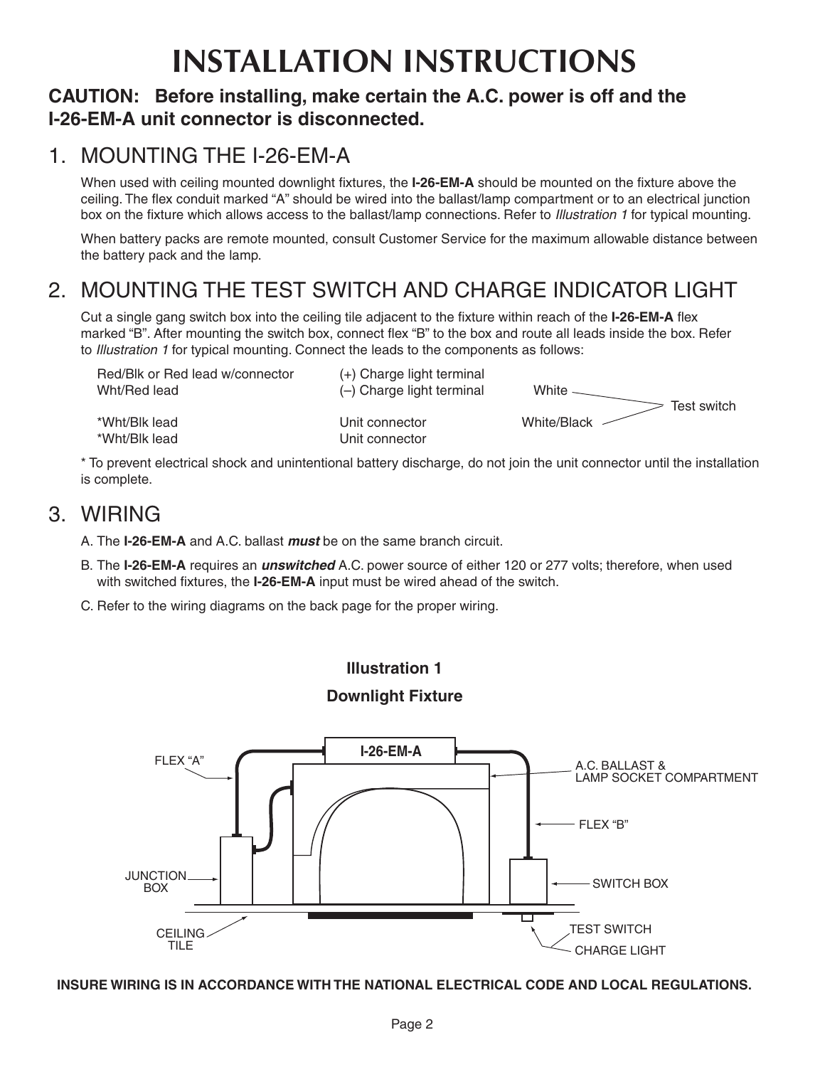# **INSTALLATION INSTRUCTIONS**

### **CAUTION: Before installing, make certain the A.C. power is off and the I-26-EM-A unit connector is disconnected.**

### 1. MOUNTING THE I-26-EM-A

When used with ceiling mounted downlight fixtures, the **I-26-EM-A** should be mounted on the fixture above the ceiling. The flex conduit marked "A" should be wired into the ballast/lamp compartment or to an electrical junction box on the fixture which allows access to the ballast/lamp connections. Refer to *Illustration 1* for typical mounting.

When battery packs are remote mounted, consult Customer Service for the maximum allowable distance between the battery pack and the lamp.

### 2. MOUNTING THE TEST SWITCH AND CHARGE INDICATOR LIGHT

Cut a single gang switch box into the ceiling tile adjacent to the fixture within reach of the **I-26-EM-A** flex marked "B". After mounting the switch box, connect flex "B" to the box and route all leads inside the box. Refer to *Illustration 1* for typical mounting. Connect the leads to the components as follows:

| Red/Blk or Red lead w/connector | (+) Charge light terminal        | White $-$   |
|---------------------------------|----------------------------------|-------------|
| Wht/Red lead                    | $(-)$ Charge light terminal      | Test switch |
| *Wht/Blk lead<br>*Wht/Blk lead  | Unit connector<br>Unit connector | White/Black |

\* To prevent electrical shock and unintentional battery discharge, do not join the unit connector until the installation is complete.

### 3. WIRING

A. The **I-26-EM-A** and A.C. ballast *must* be on the same branch circuit.

- B. The **I-26-EM-A** requires an *unswitched* A.C. power source of either 120 or 277 volts; therefore, when used with switched fixtures, the **I-26-EM-A** input must be wired ahead of the switch.
- C. Refer to the wiring diagrams on the back page for the proper wiring.





**INSURE WIRING IS IN ACCORDANCE WITH THE NATIONAL ELECTRICAL CODE AND LOCAL REGULATIONS.**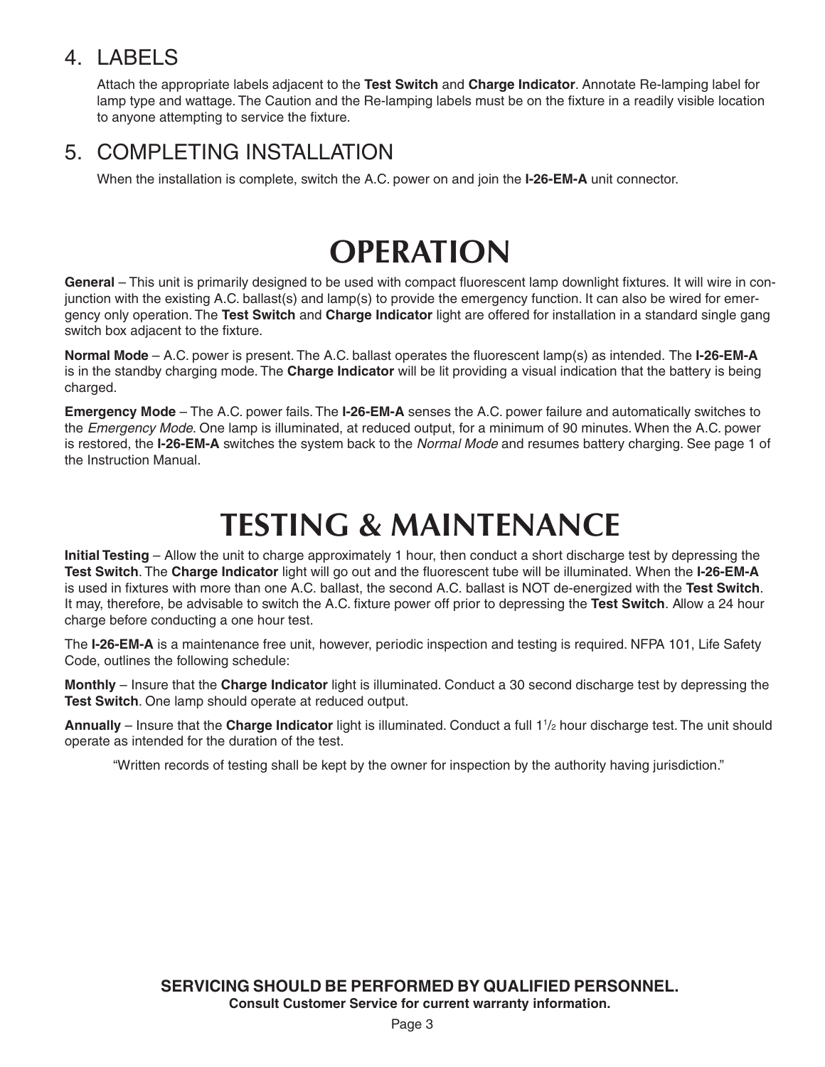### 4. LABELS

Attach the appropriate labels adjacent to the **Test Switch** and **Charge Indicator**. Annotate Re-lamping label for lamp type and wattage. The Caution and the Re-lamping labels must be on the fixture in a readily visible location to anyone attempting to service the fixture.

### 5. COMPLETING INSTALLATION

When the installation is complete, switch the A.C. power on and join the **I-26-EM-A** unit connector.

## **OPERATION**

**General** – This unit is primarily designed to be used with compact fluorescent lamp downlight fixtures. It will wire in coniunction with the existing A.C. ballast(s) and lamp(s) to provide the emergency function. It can also be wired for emergency only operation. The **Test Switch** and **Charge Indicator** light are offered for installation in a standard single gang switch box adjacent to the fixture.

**Normal Mode** – A.C. power is present. The A.C. ballast operates the fluorescent lamp(s) as intended. The **I-26-EM-A** is in the standby charging mode. The **Charge Indicator** will be lit providing a visual indication that the battery is being charged.

**Emergency Mode** – The A.C. power fails. The **I-26-EM-A** senses the A.C. power failure and automatically switches to the *Emergency Mode*. One lamp is illuminated, at reduced output, for a minimum of 90 minutes. When the A.C. power is restored, the **I-26-EM-A** switches the system back to the *Normal Mode* and resumes battery charging. See page 1 of the Instruction Manual.

## **TESTING & MAINTENANCE**

**Initial Testing** – Allow the unit to charge approximately 1 hour, then conduct a short discharge test by depressing the **Test Switch**. The **Charge Indicator** light will go out and the fluorescent tube will be illuminated. When the **I-26-EM-A** is used in fixtures with more than one A.C. ballast, the second A.C. ballast is NOT de-energized with the **Test Switch**. It may, therefore, be advisable to switch the A.C. fixture power off prior to depressing the **Test Switch**. Allow a 24 hour charge before conducting a one hour test.

The **I-26-EM-A** is a maintenance free unit, however, periodic inspection and testing is required. NFPA 101, Life Safety Code, outlines the following schedule:

**Monthly** – Insure that the **Charge Indicator** light is illuminated. Conduct a 30 second discharge test by depressing the **Test Switch**. One lamp should operate at reduced output.

Annually – Insure that the Charge Indicator light is illuminated. Conduct a full 1<sup>1</sup>/<sub>2</sub> hour discharge test. The unit should operate as intended for the duration of the test.

"Written records of testing shall be kept by the owner for inspection by the authority having jurisdiction."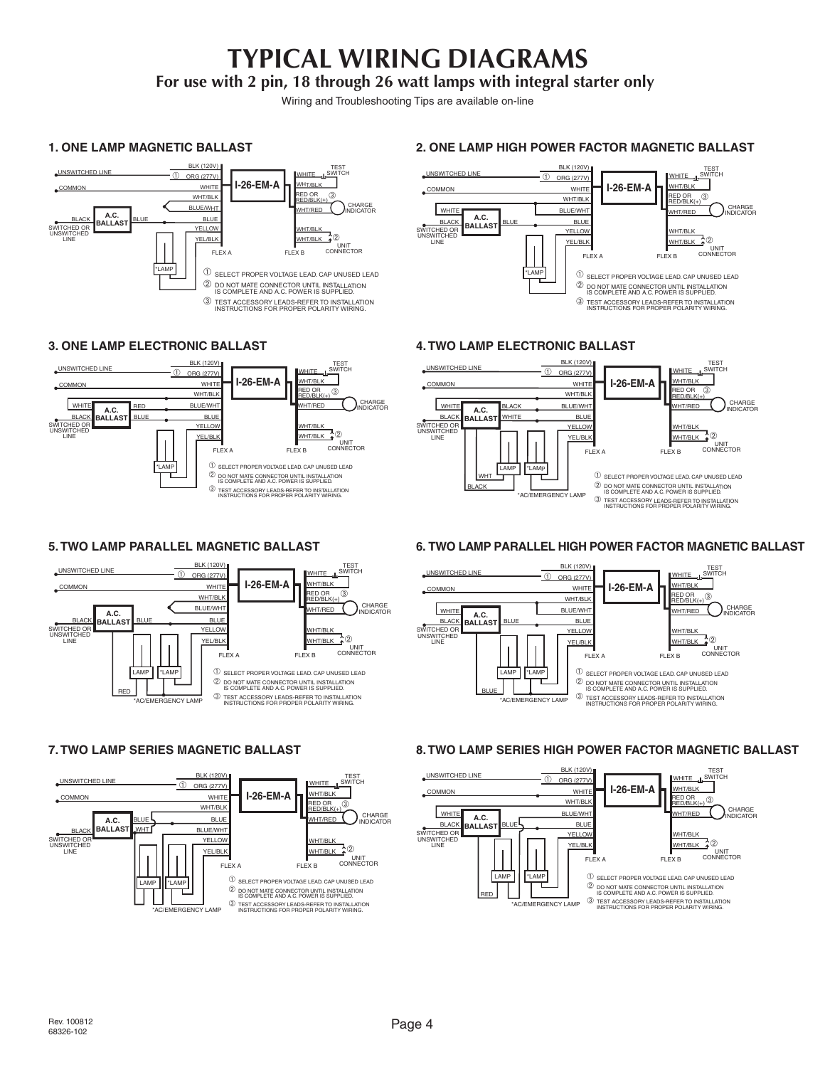## **TYPICAL WIRING DIAGRAMS**

**For use with 2 pin, 18 through 26 watt lamps with integral starter only**

Wiring and Troubleshooting Tips are available on-line

#### **ONE LAMP MAGNETIC BALLAST 1. ONE LAMP MAGNETIC BALLAST** UNIT CONNECTOR CHARGE INDICATOR TEST WHITE SWITCH <u>wht/blk</u><br>wht/blk ♠© FLEX A FLEX B BLK (120V) ORG (277V) WHITE WHT/BLK BLUE/WHT BLUE YELLOW YEL/BLK **BLACK** BLUE<br>BALLAST UNSWITCHED LINE COMMON SWITCHED OR UNSWITCHED LINE  $\overline{\oplus}$ \*LAMP WHT/BLK HT/RED EMERGENCY **I-26-EM-A**  $RED OR RED/BLK(+)$  $\mathbb D$  SELECT PROPER VOLTAGE LEAD. CAP UNUSED LEAD DO NOT MATE CONNECTOR UNTIL INSTALLATION IS COMPLETE AND A.C. POWER IS SUPPLIED. ➁ <sup>③</sup> TEST ACCESSORY LEADS-REFER TO INSTALLATION<br>
INSTRUCTIONS FOR PROPER POLARITY WIRING.

### **3. ONE LAMP ELECTRONIC BALLAST ONE LAMP ELECTRONIC BALLAST**



### **5. TWO LAMP PARALLEL MAGNETIC BALLAST TWO LAMP PARALLEL MAGNETIC BALLAST**



#### **7. TWO LAMP SERIES MAGNETIC BALLAST TWO LAMP SERIES MAGNETIC BALLAST**



#### **2. ONE LAMP HIGH POWER FACTOR MAGNETIC BALLAST ONE LAMP HIGH POWER FACTOR MAGNETIC BALLAST**



### **4. TWO LAMP ELECTRONIC BALLAST TWO LAMP ELECTRONIC BALLAST**



#### **6. TWO LAMP PARALLEL HIGH POWER FACTOR MAGNETIC BALLAST TWO LAMP PARALLEL HIGH POWER FACTOR MAGNETIC BALLAST**



#### **8. TWO LAMP SERIES HIGH POWER FACTOR MAGNETIC BALLAST TWO LAMP SERIES HIGH POWER FACTOR MAGNETIC BALLAST**